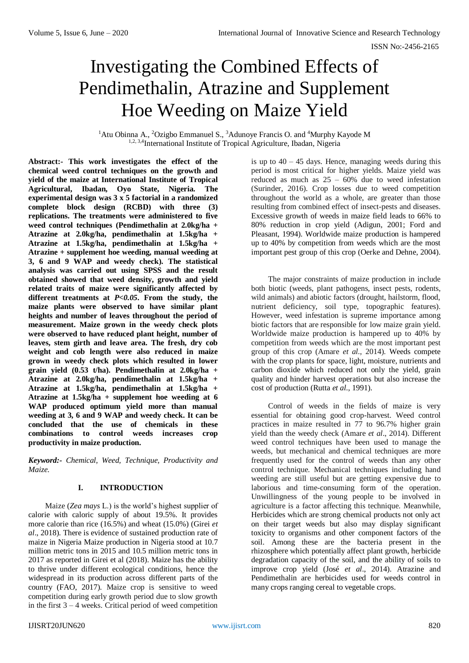# Investigating the Combined Effects of Pendimethalin, Atrazine and Supplement Hoe Weeding on Maize Yield

<sup>1</sup>Atu Obinna A., <sup>2</sup>Ozigbo Emmanuel S., <sup>3</sup>Adunoye Francis O. and <sup>4</sup>Murphy Kayode M 1,2, 3,4International Institute of Tropical Agriculture, Ibadan, Nigeria

**Abstract:- This work investigates the effect of the chemical weed control techniques on the growth and yield of the maize at International Institute of Tropical Agricultural, Ibadan, Oyo State, Nigeria. The experimental design was 3 x 5 factorial in a randomized complete block design (RCBD) with three (3) replications. The treatments were administered to five weed control techniques (Pendimethalin at 2.0kg/ha + Atrazine at 2.0kg/ha, pendimethalin at 1.5kg/ha + Atrazine at 1.5kg/ha, pendimethalin at 1.5kg/ha + Atrazine + supplement hoe weeding, manual weeding at 3, 6 and 9 WAP and weedy check). The statistical analysis was carried out using SPSS and the result obtained showed that weed density, growth and yield related traits of maize were significantly affected by different treatments at** *P<0.05***. From the study, the maize plants were observed to have similar plant heights and number of leaves throughout the period of measurement. Maize grown in the weedy check plots were observed to have reduced plant height, number of leaves, stem girth and leave area. The fresh, dry cob weight and cob length were also reduced in maize grown in weedy check plots which resulted in lower grain yield (0.53 t/ha). Pendimethalin at 2.0kg/ha + Atrazine at 2.0kg/ha, pendimethalin at 1.5kg/ha + Atrazine at 1.5kg/ha, pendimethalin at 1.5kg/ha + Atrazine at 1.5kg/ha + supplement hoe weeding at 6 WAP produced optimum yield more than manual weeding at 3, 6 and 9 WAP and weedy check. It can be concluded that the use of chemicals in these combinations to control weeds increases crop productivity in maize production.**

*Keyword:- Chemical, Weed, Technique, Productivity and Maize.*

# **I. INTRODUCTION**

Maize (*Zea mays* L.) is the world's highest supplier of calorie with caloric supply of about 19.5%. It provides more calorie than rice (16.5%) and wheat (15.0%) (Girei *et al*., 2018). There is evidence of sustained production rate of maize in Nigeria Maize production in Nigeria stood at 10.7 million metric tons in 2015 and 10.5 million metric tons in 2017 as reported in Girei et al (2018). Maize has the ability to thrive under different ecological conditions, hence the widespread in its production across different parts of the country (FAO, 2017). Maize crop is sensitive to weed competition during early growth period due to slow growth in the first  $3 - 4$  weeks. Critical period of weed competition

is up to  $40 - 45$  days. Hence, managing weeds during this period is most critical for higher yields. Maize yield was reduced as much as  $25 - 60\%$  due to weed infestation (Surinder, 2016). Crop losses due to weed competition throughout the world as a whole, are greater than those resulting from combined effect of insect-pests and diseases. Excessive growth of weeds in maize field leads to 66% to 80% reduction in crop yield (Adigun, 2001; Ford and Pleasant, 1994). Worldwide maize production is hampered up to 40% by competition from weeds which are the most important pest group of this crop (Oerke and Dehne, 2004).

The major constraints of maize production in include both biotic (weeds, plant pathogens, insect pests, rodents, wild animals) and abiotic factors (drought, hailstorm, flood, nutrient deficiency, soil type, topographic features). However, weed infestation is supreme importance among biotic factors that are responsible for low maize grain yield. Worldwide maize production is hampered up to 40% by competition from weeds which are the most important pest group of this crop (Amare *et al.*, 2014). Weeds compete with the crop plants for space, light, moisture, nutrients and carbon dioxide which reduced not only the yield, grain quality and hinder harvest operations but also increase the cost of production (Rutta *et al*., 1991).

Control of weeds in the fields of maize is very essential for obtaining good crop-harvest. Weed control practices in maize resulted in 77 to 96.7% higher grain yield than the weedy check (Amare *et al*., 2014). Different weed control techniques have been used to manage the weeds, but mechanical and chemical techniques are more frequently used for the control of weeds than any other control technique. Mechanical techniques including hand weeding are still useful but are getting expensive due to laborious and time-consuming form of the operation. Unwillingness of the young people to be involved in agriculture is a factor affecting this technique. Meanwhile, Herbicides which are strong chemical products not only act on their target weeds but also may display significant toxicity to organisms and other component factors of the soil. Among these are the bacteria present in the rhizosphere which potentially affect plant growth, herbicide degradation capacity of the soil, and the ability of soils to improve crop yield (José *et al*., 2014). Atrazine and Pendimethalin are herbicides used for weeds control in many crops ranging cereal to vegetable crops.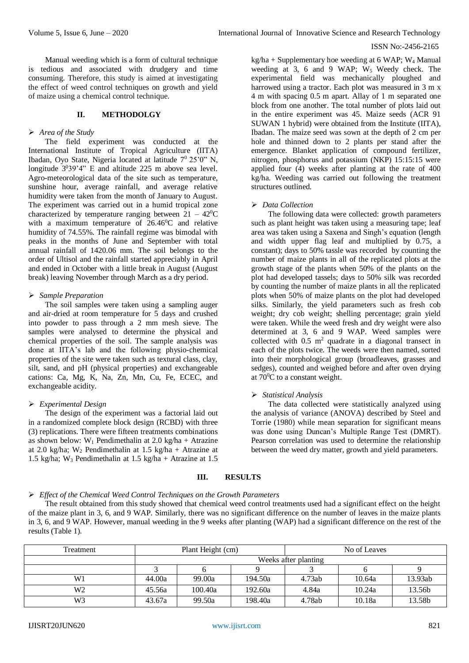Manual weeding which is a form of cultural technique is tedious and associated with drudgery and time consuming. Therefore, this study is aimed at investigating the effect of weed control techniques on growth and yield of maize using a chemical control technique.

## **II. METHODOLGY**

### *Area of the Study*

The field experiment was conducted at the International Institute of Tropical Agriculture (IITA) Ibadan, Oyo State, Nigeria located at latitude  $7^0$  25'0" N, longitude  $3^{0}39'4''$  E and altitude 225 m above sea level. Agro-meteorological data of the site such as temperature, sunshine hour, average rainfall, and average relative humidity were taken from the month of January to August. The experiment was carried out in a humid tropical zone characterized by temperature ranging between  $21 - 42^{\circ}C$ with a maximum temperature of  $26.46^{\circ}$ C and relative humidity of 74.55%. The rainfall regime was bimodal with peaks in the months of June and September with total annual rainfall of 1420.06 mm. The soil belongs to the order of Ultisol and the rainfall started appreciably in April and ended in October with a little break in August (August break) leaving November through March as a dry period.

## *Sample Preparation*

The soil samples were taken using a sampling auger and air-dried at room temperature for 5 days and crushed into powder to pass through a 2 mm mesh sieve. The samples were analysed to determine the physical and chemical properties of the soil. The sample analysis was done at IITA's lab and the following physio-chemical properties of the site were taken such as textural class, clay, silt, sand, and pH (physical properties) and exchangeable cations: Ca, Mg, K, Na, Zn, Mn, Cu, Fe, ECEC, and exchangeable acidity.

# *Experimental Design*

The design of the experiment was a factorial laid out in a randomized complete block design (RCBD) with three (3) replications. There were fifteen treatments combinations as shown below:  $W_1$  Pendimethalin at 2.0 kg/ha + Atrazine at 2.0 kg/ha; W<sup>2</sup> Pendimethalin at 1.5 kg/ha + Atrazine at 1.5 kg/ha; W<sup>3</sup> Pendimethalin at 1.5 kg/ha + Atrazine at 1.5

 $kg/ha + Supplementary hoe weeding at 6 WAP; W<sub>4</sub> Manual$ weeding at 3, 6 and 9 WAP;  $W_5$  Weedy check. The experimental field was mechanically ploughed and harrowed using a tractor. Each plot was measured in 3 m x 4 m with spacing 0.5 m apart. Allay of 1 m separated one block from one another. The total number of plots laid out in the entire experiment was 45. Maize seeds (ACR 91 SUWAN 1 hybrid) were obtained from the Institute (IITA), Ibadan. The maize seed was sown at the depth of 2 cm per hole and thinned down to 2 plants per stand after the emergence. Blanket application of compound fertilizer, nitrogen, phosphorus and potassium (NKP) 15:15:15 were applied four (4) weeks after planting at the rate of 400 kg/ha. Weeding was carried out following the treatment structures outlined.

## *Data Collection*

The following data were collected: growth parameters such as plant height was taken using a measuring tape; leaf area was taken using a Saxena and Singh's equation (length and width upper flag leaf and multiplied by 0.75, a constant); days to 50% tassle was recorded by counting the number of maize plants in all of the replicated plots at the growth stage of the plants when 50% of the plants on the plot had developed tassels; days to 50% silk was recorded by counting the number of maize plants in all the replicated plots when 50% of maize plants on the plot had developed silks. Similarly, the yield parameters such as fresh cob weight; dry cob weight; shelling percentage; grain yield were taken. While the weed fresh and dry weight were also determined at 3, 6 and 9 WAP. Weed samples were collected with  $0.5 \text{ m}^2$  quadrate in a diagonal transect in each of the plots twice. The weeds were then named, sorted into their morphological group (broadleaves, grasses and sedges), counted and weighed before and after oven drying at  $70^0$ C to a constant weight.

# *Statistical Analysis*

The data collected were statistically analyzed using the analysis of variance (ANOVA) described by Steel and Torrie (1980) while mean separation for significant means was done using Duncan's Multiple Range Test (DMRT). Pearson correlation was used to determine the relationship between the weed dry matter, growth and yield parameters.

#### **III. RESULTS**

# *Effect of the Chemical Weed Control Techniques on the Growth Parameters*

The result obtained from this study showed that chemical weed control treatments used had a significant effect on the height of the maize plant in 3, 6, and 9 WAP. Similarly, there was no significant difference on the number of leaves in the maize plants in 3, 6, and 9 WAP. However, manual weeding in the 9 weeks after planting (WAP) had a significant difference on the rest of the results (Table 1).

| Treatment | Plant Height (cm)    |         |         | No of Leaves |        |         |  |
|-----------|----------------------|---------|---------|--------------|--------|---------|--|
|           | Weeks after planting |         |         |              |        |         |  |
|           |                      |         |         |              |        |         |  |
| W1        | 44.00a               | 99.00a  | 194.50a | 4.73ab       | 10.64a | 13.93ab |  |
| W2        | 45.56a               | 100.40a | 192.60a | 4.84a        | 10.24a | 13.56b  |  |
| W3        | 43.67a               | 99.50a  | 198.40a | 4.78ab       | 10.18a | 13.58b  |  |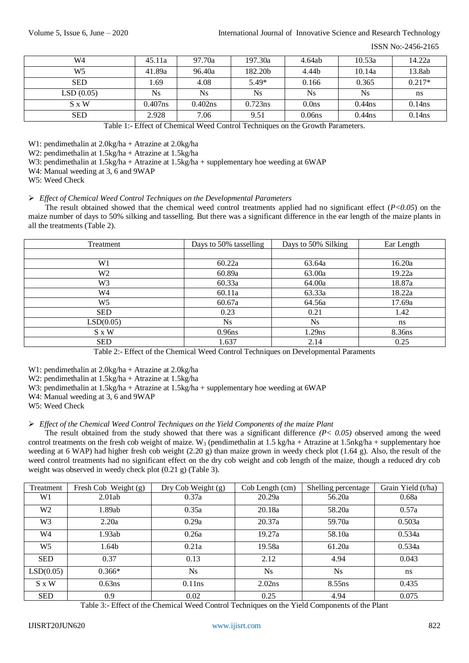| W4           | 45.11a     | 97.70a    | 197.30a    | 4.64ab            | 10.53a    | 14.22a    |
|--------------|------------|-----------|------------|-------------------|-----------|-----------|
| W5           | 41.89a     | 96.40a    | 182.20b    | 4.44b             | 10.14a    | 13.8ab    |
| <b>SED</b>   | . 69       | 4.08      | $5.49*$    | 0.166             | 0.365     | $0.217*$  |
| LSD(0.05)    | Ns.        | <b>Ns</b> | <b>Ns</b>  | <b>Ns</b>         | Ns        | ns        |
| $S \times W$ | $0.407$ ns | 0.402ns   | $0.723$ ns | 0.0 <sub>ns</sub> | $0.44$ ns | $0.14$ ns |
| <b>SED</b>   | 2.928      | 7.06      | 9.51       | 0.06ns            | $0.44$ ns | $0.14$ ns |

Table 1:- Effect of Chemical Weed Control Techniques on the Growth Parameters.

W1: pendimethalin at 2.0kg/ha + Atrazine at 2.0kg/ha

W2: pendimethalin at 1.5kg/ha + Atrazine at 1.5kg/ha

W3: pendimethalin at  $1.5\text{kg/ha} + \text{Atrazine at } 1.5\text{kg/ha} + \text{supplementary hoe weeding at } 6\text{WAP}$ 

W4: Manual weeding at 3, 6 and 9WAP

W5: Weed Check

#### *Effect of Chemical Weed Control Techniques on the Developmental Parameters*

The result obtained showed that the chemical weed control treatments applied had no significant effect (*P<0.05*) on the maize number of days to 50% silking and tasselling. But there was a significant difference in the ear length of the maize plants in all the treatments (Table 2).

| Treatment      | Days to 50% tasselling | Days to 50% Silking | Ear Length |  |
|----------------|------------------------|---------------------|------------|--|
|                |                        |                     |            |  |
| W <sub>1</sub> | 60.22a                 | 63.64a              | 16.20a     |  |
| W <sub>2</sub> | 60.89a                 | 63.00a              | 19.22a     |  |
| W <sub>3</sub> | 60.33a                 | 64.00a              | 18.87a     |  |
| W4             | 60.11a                 | 63.33a              | 18.22a     |  |
| W <sub>5</sub> | 60.67a                 | 64.56a              | 17.69a     |  |
| <b>SED</b>     | 0.23                   | 0.21                | 1.42       |  |
| LSD(0.05)      | <b>Ns</b>              | <b>Ns</b>           | ns.        |  |
| S x W          | 0.96 <sub>ns</sub>     | 1.29ns              | 8.36ns     |  |
| <b>SED</b>     | 1.637                  | 2.14                | 0.25       |  |

Table 2:- Effect of the Chemical Weed Control Techniques on Developmental Paraments

W1: pendimethalin at 2.0kg/ha + Atrazine at 2.0kg/ha

W2: pendimethalin at 1.5kg/ha + Atrazine at 1.5kg/ha

W3: pendimethalin at  $1.5\text{kg/ha} + \text{Atrazine}$  at  $1.5\text{kg/ha} + \text{supplementary}$  hoe weeding at 6WAP

W4: Manual weeding at 3, 6 and 9WAP

W5: Weed Check

#### *Effect of the Chemical Weed Control Techniques on the Yield Components of the maize Plant*

The result obtained from the study showed that there was a significant difference *(P< 0.05)* observed among the weed control treatments on the fresh cob weight of maize. W<sub>3</sub> (pendimethalin at 1.5 kg/ha + Atrazine at 1.5nkg/ha + supplementary hoe weeding at 6 WAP) had higher fresh cob weight (2.20 g) than maize grown in weedy check plot (1.64 g). Also, the result of the weed control treatments had no significant effect on the dry cob weight and cob length of the maize, though a reduced dry cob weight was observed in weedy check plot (0.21 g) (Table 3).

| Treatment      | Fresh Cob Weight (g) | Dry Cob Weight (g) | Cob Length (cm)    | Shelling percentage | Grain Yield (t/ha) |
|----------------|----------------------|--------------------|--------------------|---------------------|--------------------|
| W1             | 2.01ab               | 0.37a              | 20.29a             | 56.20a              | 0.68a              |
| W <sub>2</sub> | 1.89ab               | 0.35a              | 20.18a             | 58.20a              | 0.57a              |
| W3             | 2.20a                | 0.29a              | 20.37a             | 59.70a              | 0.503a             |
| W4             | 1.93ab               | 0.26a              | 19.27a             | 58.10a              | 0.534a             |
| W5             | 1.64b                | 0.21a              | 19.58a             | 61.20a              | 0.534a             |
| <b>SED</b>     | 0.37                 | 0.13               | 2.12               | 4.94                | 0.043              |
| LSD(0.05)      | $0.366*$             | <b>Ns</b>          | <b>Ns</b>          | <b>Ns</b>           | ns                 |
| $S \times W$   | 0.63ns               | 0.11ns             | 2.02 <sub>ns</sub> | 8.55 <sub>ns</sub>  | 0.435              |
| <b>SED</b>     | 0.9                  | 0.02               | 0.25               | 4.94                | 0.075              |

Table 3:- Effect of the Chemical Weed Control Techniques on the Yield Components of the Plant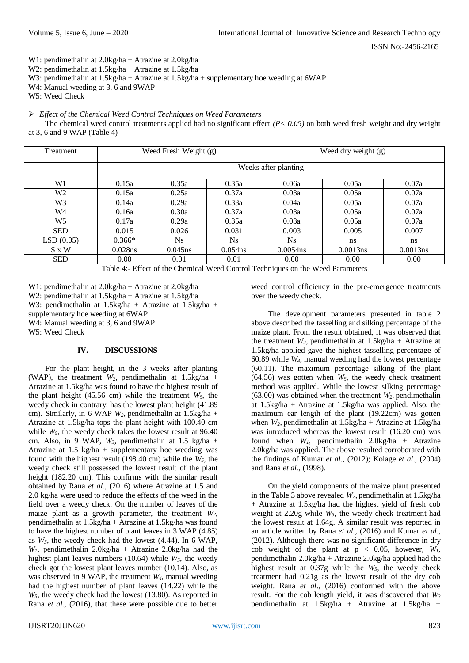W1: pendimethalin at 2.0kg/ha + Atrazine at 2.0kg/ha

W2: pendimethalin at 1.5kg/ha + Atrazine at 1.5kg/ha

W3: pendimethalin at 1.5kg/ha + Atrazine at 1.5kg/ha + supplementary hoe weeding at 6WAP

W4: Manual weeding at 3, 6 and 9WAP

W5: Weed Check

#### *Effect of the Chemical Weed Control Techniques on Weed Parameters*

The chemical weed control treatments applied had no significant effect  $(P < 0.05)$  on both weed fresh weight and dry weight at 3, 6 and 9 WAP (Table 4)

| Treatment  |                      | Weed Fresh Weight (g) |            | Weed dry weight (g) |          |          |  |  |
|------------|----------------------|-----------------------|------------|---------------------|----------|----------|--|--|
|            | Weeks after planting |                       |            |                     |          |          |  |  |
| W1         | 0.15a                | 0.35a                 | 0.35a      | 0.06a               | 0.05a    | 0.07a    |  |  |
| W2         | 0.15a                | 0.25a                 | 0.37a      | 0.03a               | 0.05a    | 0.07a    |  |  |
| W3         | 0.14a                | 0.29a                 | 0.33a      | 0.04a               | 0.05a    | 0.07a    |  |  |
| W4         | 0.16a                | 0.30a                 | 0.37a      | 0.03a               | 0.05a    | 0.07a    |  |  |
| W5         | 0.17a                | 0.29a                 | 0.35a      | 0.03a               | 0.05a    | 0.07a    |  |  |
| <b>SED</b> | 0.015                | 0.026                 | 0.031      | 0.003               | 0.005    | 0.007    |  |  |
| LSD(0.05)  | $0.366*$             | Ns.                   | Ns.        | N <sub>S</sub>      | ns       | ns.      |  |  |
| S x W      | 0.028ns              | 0.045ns               | $0.054$ ns | $0.0054$ ns         | 0.0013ns | 0.0013ns |  |  |
| <b>SED</b> | $0.00^{\circ}$       | 0.01                  | 0.01       | $0.00^{\circ}$      | 0.00     | 0.00     |  |  |

Table 4:- Effect of the Chemical Weed Control Techniques on the Weed Parameters

W1: pendimethalin at 2.0kg/ha + Atrazine at 2.0kg/ha

W2: pendimethalin at 1.5kg/ha + Atrazine at 1.5kg/ha

W3: pendimethalin at 1.5kg/ha + Atrazine at 1.5kg/ha +

supplementary hoe weeding at 6WAP

W<sub>4</sub>: Manual weeding at 3, 6 and 9WAP

W5: Weed Check

# **IV. DISCUSSIONS**

For the plant height, in the 3 weeks after planting (WAP), the treatment  $W_2$ , pendimethalin at 1.5kg/ha + Atrazine at 1.5kg/ha was found to have the highest result of the plant height (45.56 cm) while the treatment  $W_5$ , the weedy check in contrary, has the lowest plant height (41.89 cm). Similarly, in 6 WAP *W2*, pendimethalin at 1.5kg/ha + Atrazine at 1.5kg/ha tops the plant height with 100.40 cm while  $W_5$ , the weedy check takes the lowest result at 96.40 cm. Also, in 9 WAP,  $W_3$ , pendimethalin at 1.5 kg/ha + Atrazine at 1.5 kg/ha + supplementary hoe weeding was found with the highest result (198.40 cm) while the *W5*, the weedy check still possessed the lowest result of the plant height (182.20 cm). This confirms with the similar result obtained by Rana *et al.,* (2016) where Atrazine at 1.5 and 2.0 kg/ha were used to reduce the effects of the weed in the field over a weedy check. On the number of leaves of the maize plant as a growth parameter, the treatment *W2*, pendimethalin at 1.5kg/ha + Atrazine at 1.5kg/ha was found to have the highest number of plant leaves in 3 WAP (4.85) as  $W_5$ , the weedy check had the lowest  $(4.44)$ . In 6 WAP, *W1,* pendimethalin 2.0kg/ha + Atrazine 2.0kg/ha had the highest plant leaves numbers (10.64) while *W5*, the weedy check got the lowest plant leaves number (10.14). Also, as was observed in 9 WAP, the treatment *W4*, manual weeding had the highest number of plant leaves (14.22) while the *W*<sub>5</sub>, the weedy check had the lowest (13.80). As reported in Rana *et al.,* (2016), that these were possible due to better

weed control efficiency in the pre-emergence treatments over the weedy check.

The development parameters presented in table 2 above described the tasselling and silking percentage of the maize plant. From the result obtained, it was observed that the treatment  $W_2$ , pendimethalin at  $1.5\text{kg/ha}$  + Atrazine at 1.5kg/ha applied gave the highest tasselling percentage of 60.89 while *W4*, manual weeding had the lowest percentage (60.11). The maximum percentage silking of the plant (64.56) was gotten when *W5*, the weedy check treatment method was applied. While the lowest silking percentage  $(63.00)$  was obtained when the treatment  $W_2$ , pendimethalin at 1.5kg/ha + Atrazine at 1.5kg/ha was applied. Also, the maximum ear length of the plant (19.22cm) was gotten when *W2*, pendimethalin at 1.5kg/ha + Atrazine at 1.5kg/ha was introduced whereas the lowest result (16.20 cm) was found when  $W_l$ , pendimethalin 2.0kg/ha + Atrazine 2.0kg/ha was applied. The above resulted corroborated with the findings of Kumar *et al*., (2012); Kolage *et al*., (2004) and Rana *et al.*, (1998).

On the yield components of the maize plant presented in the Table 3 above revealed *W2*, pendimethalin at 1.5kg/ha + Atrazine at 1.5kg/ha had the highest yield of fresh cob weight at 2.20g while *W5*, the weedy check treatment had the lowest result at 1.64g. A similar result was reported in an article written by Rana *et al.*, (2016) and Kumar *et al*., (2012). Although there was no significant difference in dry cob weight of the plant at  $p < 0.05$ , however,  $W<sub>1</sub>$ , pendimethalin 2.0kg/ha + Atrazine 2.0kg/ha applied had the highest result at 0.37g while the *W5*, the weedy check treatment had 0.21g as the lowest result of the dry cob weight. Rana *et al*., (2016) conformed with the above result. For the cob length yield, it was discovered that *W<sup>3</sup>* pendimethalin at 1.5kg/ha + Atrazine at 1.5kg/ha +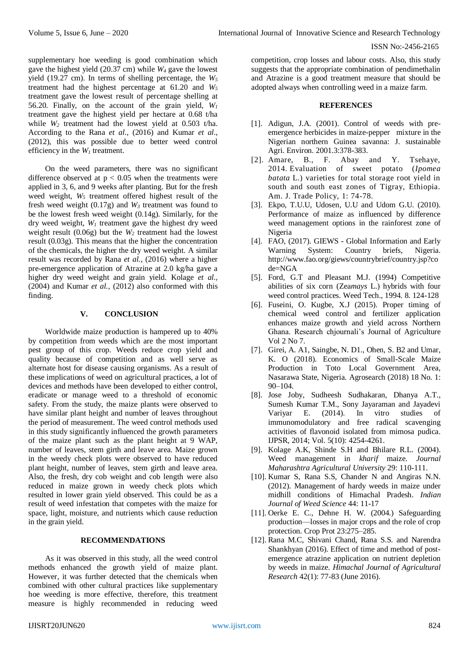supplementary hoe weeding is good combination which gave the highest yield  $(20.37 \text{ cm})$  while  $W_4$  gave the lowest yield (19.27 cm). In terms of shelling percentage, the *W<sup>5</sup>* treatment had the highest percentage at 61.20 and *W<sup>5</sup>* treatment gave the lowest result of percentage shelling at 56.20. Finally, on the account of the grain yield, *W<sup>1</sup>* treatment gave the highest yield per hectare at 0.68 t/ha while  $W_2$  treatment had the lowest yield at 0.503 t/ha. According to the Rana *et al*., (2016) and Kumar *et al*., (2012), this was possible due to better weed control efficiency in the  $W<sub>1</sub>$  treatment.

On the weed parameters, there was no significant difference observed at  $p < 0.05$  when the treatments were applied in 3, 6, and 9 weeks after planting. But for the fresh weed weight,  $W_5$  treatment offered highest result of the fresh weed weight  $(0.17g)$  and  $W_3$  treatment was found to be the lowest fresh weed weight (0.14g). Similarly, for the dry weed weight, *W<sup>1</sup>* treatment gave the highest dry weed weight result  $(0.06g)$  but the  $W_2$  treatment had the lowest result (0.03g). This means that the higher the concentration of the chemicals, the higher the dry weed weight. A similar result was recorded by Rana *et al.*, (2016) where a higher pre-emergence application of Atrazine at 2.0 kg/ha gave a higher dry weed weight and grain yield. Kolage *et al.,* (2004) and Kumar *et al.,* (2012) also conformed with this finding.

# **V. CONCLUSION**

Worldwide maize production is hampered up to 40% by competition from weeds which are the most important pest group of this crop. Weeds reduce crop yield and quality because of competition and as well serve as alternate host for disease causing organisms. As a result of these implications of weed on agricultural practices, a lot of devices and methods have been developed to either control, eradicate or manage weed to a threshold of economic safety. From the study, the maize plants were observed to have similar plant height and number of leaves throughout the period of measurement. The weed control methods used in this study significantly influenced the growth parameters of the maize plant such as the plant height at 9 WAP, number of leaves, stem girth and leave area. Maize grown in the weedy check plots were observed to have reduced plant height, number of leaves, stem girth and leave area. Also, the fresh, dry cob weight and cob length were also reduced in maize grown in weedy check plots which resulted in lower grain yield observed. This could be as a result of weed infestation that competes with the maize for space, light, moisture, and nutrients which cause reduction in the grain yield.

# **RECOMMENDATIONS**

As it was observed in this study, all the weed control methods enhanced the growth yield of maize plant. However, it was further detected that the chemicals when combined with other cultural practices like supplementary hoe weeding is more effective, therefore, this treatment measure is highly recommended in reducing weed competition, crop losses and labour costs. Also, this study suggests that the appropriate combination of pendimethalin and Atrazine is a good treatment measure that should be adopted always when controlling weed in a maize farm.

## **REFERENCES**

- [1]. Adigun, J.A. (2001). Control of weeds with preemergence herbicides in maize-pepper mixture in the Nigerian northern Guinea savanna: J. sustainable Agri. Environ. 2001.3:378-383.
- [2]. Amare, B., F. Abay and Y. Tsehaye, 2014. Evaluation of sweet potato (*Ipomea batata* L.) varieties for total storage root yield in south and south east zones of Tigray, Ethiopia. Am. J. Trade Policy, 1: 74-78.
- [3]. Ekpo, T.U.U, Udosen, U.U and Udom G.U. (2010). Performance of maize as influenced by difference weed management options in the rainforest zone of Nigeria
- [4]. FAO, (2017). GIEWS Global Information and Early Warning System: Country briefs, Nigeria. http://www.fao.org/giews/countrybrief/country.jsp?co de=NGA
- [5]. Ford, G.T and Pleasant M.J. (1994) Competitive abilities of six corn (Zea*mays* L.) hybrids with four weed control practices. Weed Tech., 1994. 8. 124-128
- [6]. Fuseini, O. Kugbe, X.J (2015). Proper timing of chemical weed control and fertilizer application enhances maize growth and yield across Northern Ghana. Research chjournali's Journal of Agriculture Vol 2 No 7.
- [7]. Girei, A. A1, Saingbe, N. D1., Ohen, S. B2 and Umar, K. O (2018). Economics of Small-Scale Maize Production in Toto Local Government Area, Nasarawa State, Nigeria. Agrosearch (2018) 18 No. 1: 90–104.
- [8]. Jose Joby, Sudheesh Sudhakaran, Dhanya A.T., Sumesh Kumar T.M., Sony Jayaraman and Jayadevi Variyar E. (2014). In vitro studies of immunomodulatory and free radical scavenging activities of flavonoid isolated from mimosa pudica. IJPSR, 2014; Vol. 5(10): 4254-4261.
- [9]. Kolage A.K, Shinde S.H and Bhilare R.L. (2004). Weed management in *kharif* maize. *Journal Maharashtra Agricultural University* 29: 110-111.
- [10]. Kumar S, Rana S.S, Chander N and Angiras N.N. (2012). Management of hardy weeds in maize under midhill conditions of Himachal Pradesh. *Indian Journal of Weed Science* 44: 11-17
- [11]. Oerke E. C., Dehne H. W. (2004.) Safeguarding production—losses in major crops and the role of crop protection. Crop Prot 23:275–285.
- [12]. Rana M.C, Shivani Chand, Rana S.S. and Narendra Shankhyan (2016). Effect of time and method of postemergence atrazine application on nutrient depletion by weeds in maize. *Himachal Journal of Agricultural Research* 42(1): 77-83 (June 2016).